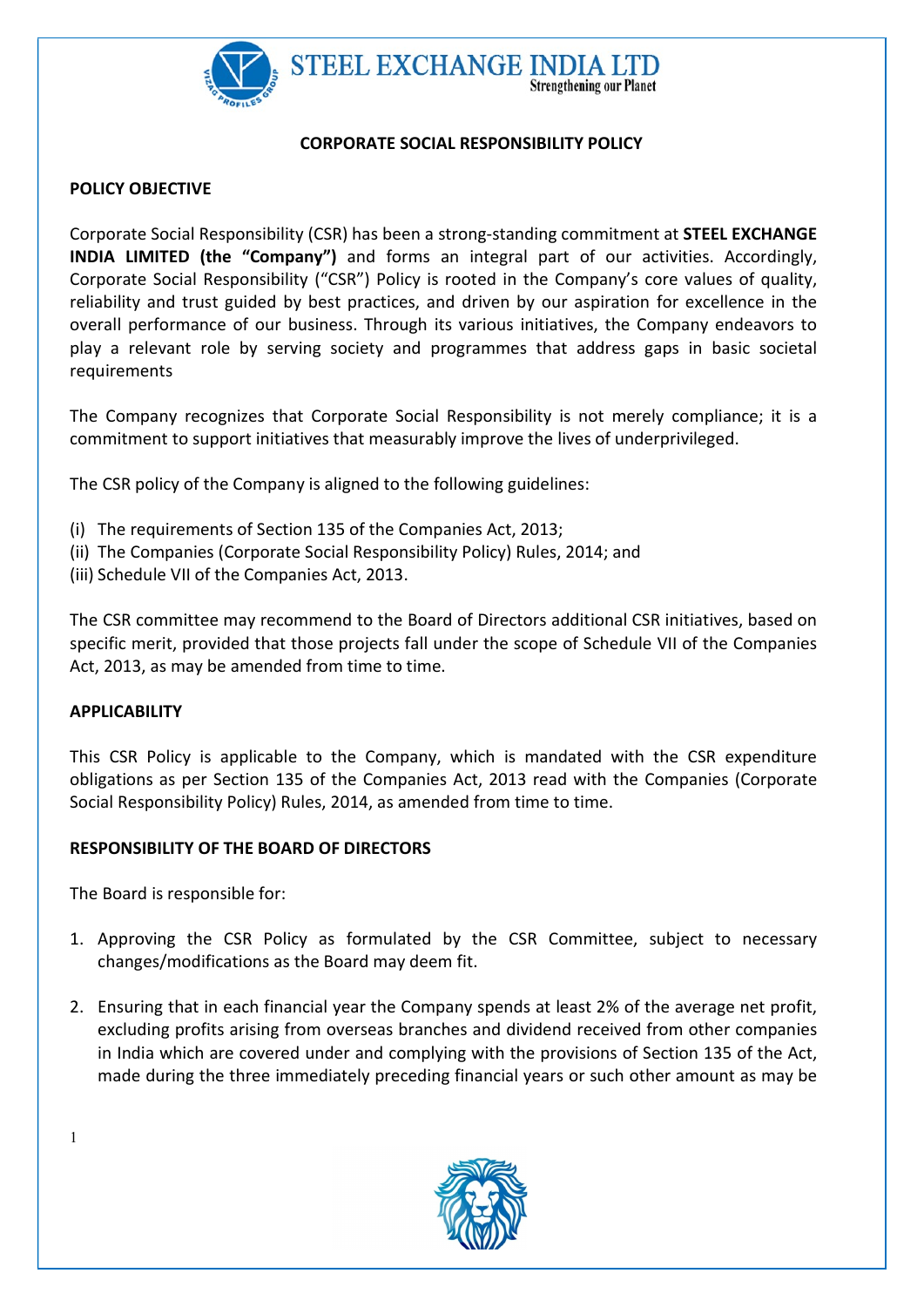

## CORPORATE SOCIAL RESPONSIBILITY POLICY

## POLICY OBJECTIVE

Corporate Social Responsibility (CSR) has been a strong-standing commitment at STEEL EXCHANGE INDIA LIMITED (the "Company") and forms an integral part of our activities. Accordingly, Corporate Social Responsibility ("CSR") Policy is rooted in the Company's core values of quality, reliability and trust guided by best practices, and driven by our aspiration for excellence in the overall performance of our business. Through its various initiatives, the Company endeavors to play a relevant role by serving society and programmes that address gaps in basic societal requirements

The Company recognizes that Corporate Social Responsibility is not merely compliance; it is a commitment to support initiatives that measurably improve the lives of underprivileged.

The CSR policy of the Company is aligned to the following guidelines:

- (i) The requirements of Section 135 of the Companies Act, 2013;
- (ii) The Companies (Corporate Social Responsibility Policy) Rules, 2014; and
- (iii) Schedule VII of the Companies Act, 2013.

The CSR committee may recommend to the Board of Directors additional CSR initiatives, based on specific merit, provided that those projects fall under the scope of Schedule VII of the Companies Act, 2013, as may be amended from time to time.

## **APPLICABILITY**

This CSR Policy is applicable to the Company, which is mandated with the CSR expenditure obligations as per Section 135 of the Companies Act, 2013 read with the Companies (Corporate Social Responsibility Policy) Rules, 2014, as amended from time to time.

## RESPONSIBILITY OF THE BOARD OF DIRECTORS

The Board is responsible for:

- 1. Approving the CSR Policy as formulated by the CSR Committee, subject to necessary changes/modifications as the Board may deem fit.
- 2. Ensuring that in each financial year the Company spends at least 2% of the average net profit, excluding profits arising from overseas branches and dividend received from other companies in India which are covered under and complying with the provisions of Section 135 of the Act, made during the three immediately preceding financial years or such other amount as may be



1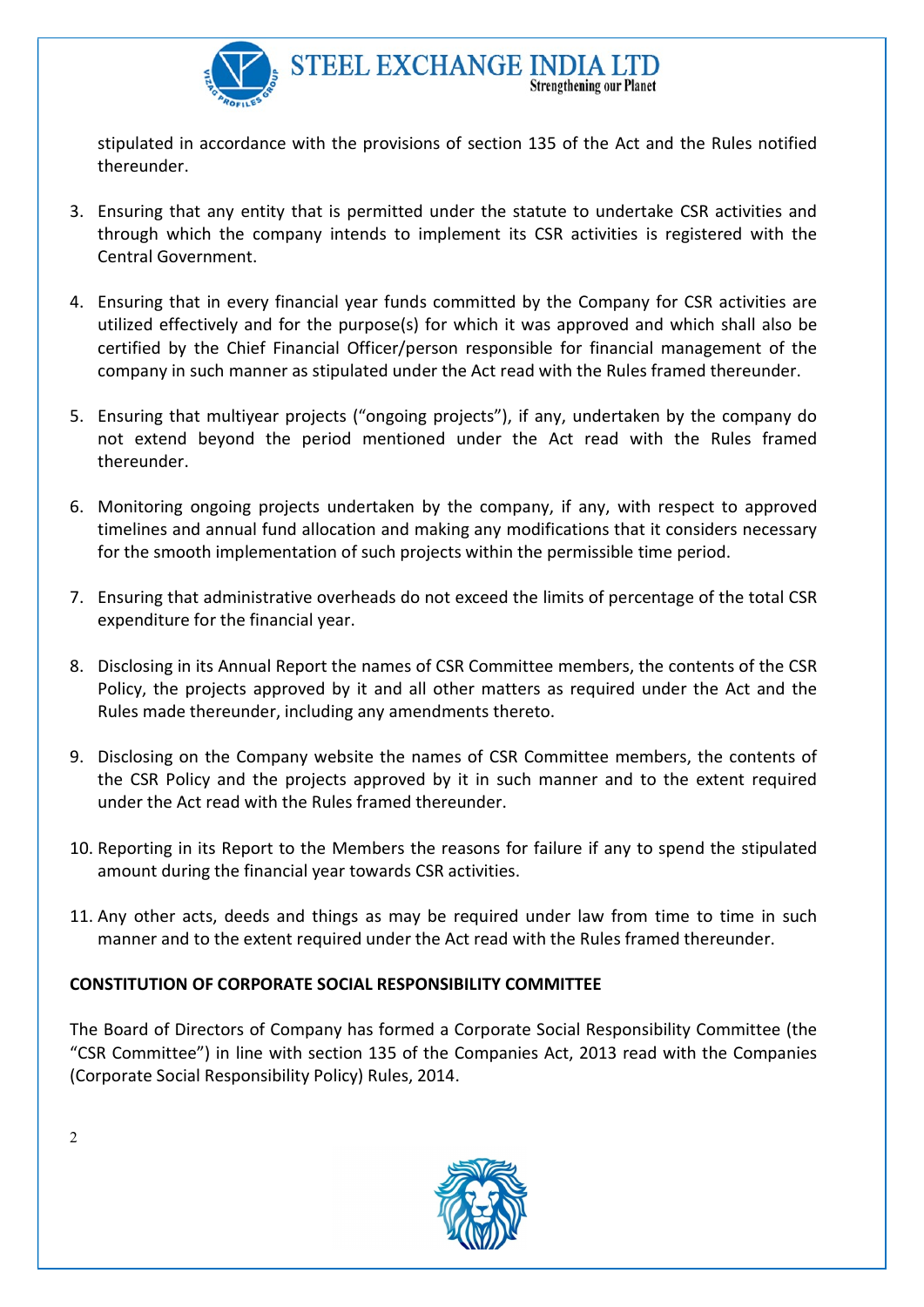

stipulated in accordance with the provisions of section 135 of the Act and the Rules notified thereunder.

- 3. Ensuring that any entity that is permitted under the statute to undertake CSR activities and through which the company intends to implement its CSR activities is registered with the Central Government.
- 4. Ensuring that in every financial year funds committed by the Company for CSR activities are utilized effectively and for the purpose(s) for which it was approved and which shall also be certified by the Chief Financial Officer/person responsible for financial management of the company in such manner as stipulated under the Act read with the Rules framed thereunder.
- 5. Ensuring that multiyear projects ("ongoing projects"), if any, undertaken by the company do not extend beyond the period mentioned under the Act read with the Rules framed thereunder.
- 6. Monitoring ongoing projects undertaken by the company, if any, with respect to approved timelines and annual fund allocation and making any modifications that it considers necessary for the smooth implementation of such projects within the permissible time period.
- 7. Ensuring that administrative overheads do not exceed the limits of percentage of the total CSR expenditure for the financial year.
- 8. Disclosing in its Annual Report the names of CSR Committee members, the contents of the CSR Policy, the projects approved by it and all other matters as required under the Act and the Rules made thereunder, including any amendments thereto.
- 9. Disclosing on the Company website the names of CSR Committee members, the contents of the CSR Policy and the projects approved by it in such manner and to the extent required under the Act read with the Rules framed thereunder.
- 10. Reporting in its Report to the Members the reasons for failure if any to spend the stipulated amount during the financial year towards CSR activities.
- 11. Any other acts, deeds and things as may be required under law from time to time in such manner and to the extent required under the Act read with the Rules framed thereunder.

# CONSTITUTION OF CORPORATE SOCIAL RESPONSIBILITY COMMITTEE

The Board of Directors of Company has formed a Corporate Social Responsibility Committee (the "CSR Committee") in line with section 135 of the Companies Act, 2013 read with the Companies (Corporate Social Responsibility Policy) Rules, 2014.



2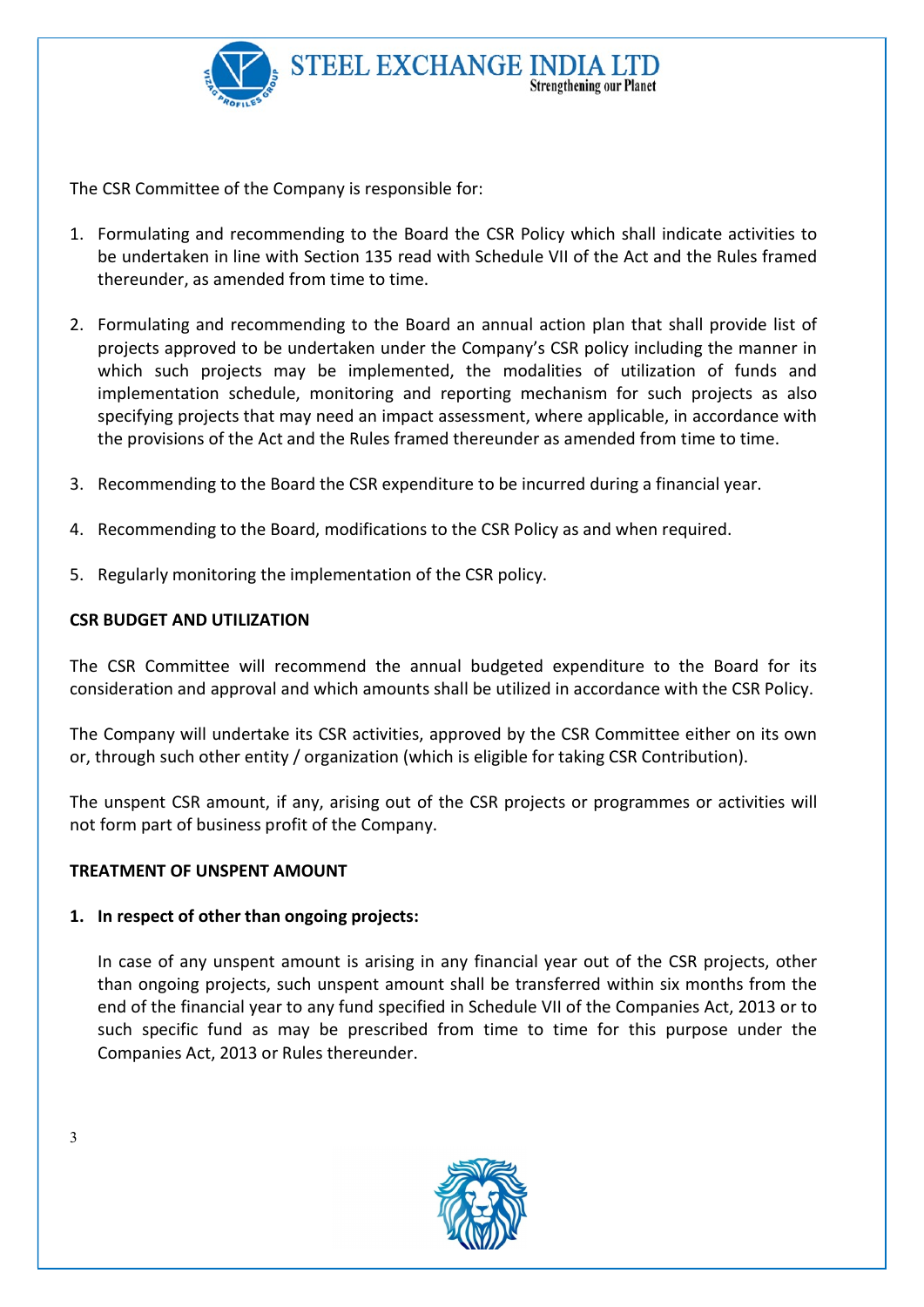

The CSR Committee of the Company is responsible for:

- 1. Formulating and recommending to the Board the CSR Policy which shall indicate activities to be undertaken in line with Section 135 read with Schedule VII of the Act and the Rules framed thereunder, as amended from time to time.
- 2. Formulating and recommending to the Board an annual action plan that shall provide list of projects approved to be undertaken under the Company's CSR policy including the manner in which such projects may be implemented, the modalities of utilization of funds and implementation schedule, monitoring and reporting mechanism for such projects as also specifying projects that may need an impact assessment, where applicable, in accordance with the provisions of the Act and the Rules framed thereunder as amended from time to time.
- 3. Recommending to the Board the CSR expenditure to be incurred during a financial year.
- 4. Recommending to the Board, modifications to the CSR Policy as and when required.
- 5. Regularly monitoring the implementation of the CSR policy.

# CSR BUDGET AND UTILIZATION

The CSR Committee will recommend the annual budgeted expenditure to the Board for its consideration and approval and which amounts shall be utilized in accordance with the CSR Policy.

The Company will undertake its CSR activities, approved by the CSR Committee either on its own or, through such other entity / organization (which is eligible for taking CSR Contribution).

The unspent CSR amount, if any, arising out of the CSR projects or programmes or activities will not form part of business profit of the Company.

# TREATMENT OF UNSPENT AMOUNT

# 1. In respect of other than ongoing projects:

In case of any unspent amount is arising in any financial year out of the CSR projects, other than ongoing projects, such unspent amount shall be transferred within six months from the end of the financial year to any fund specified in Schedule VII of the Companies Act, 2013 or to such specific fund as may be prescribed from time to time for this purpose under the Companies Act, 2013 or Rules thereunder.



3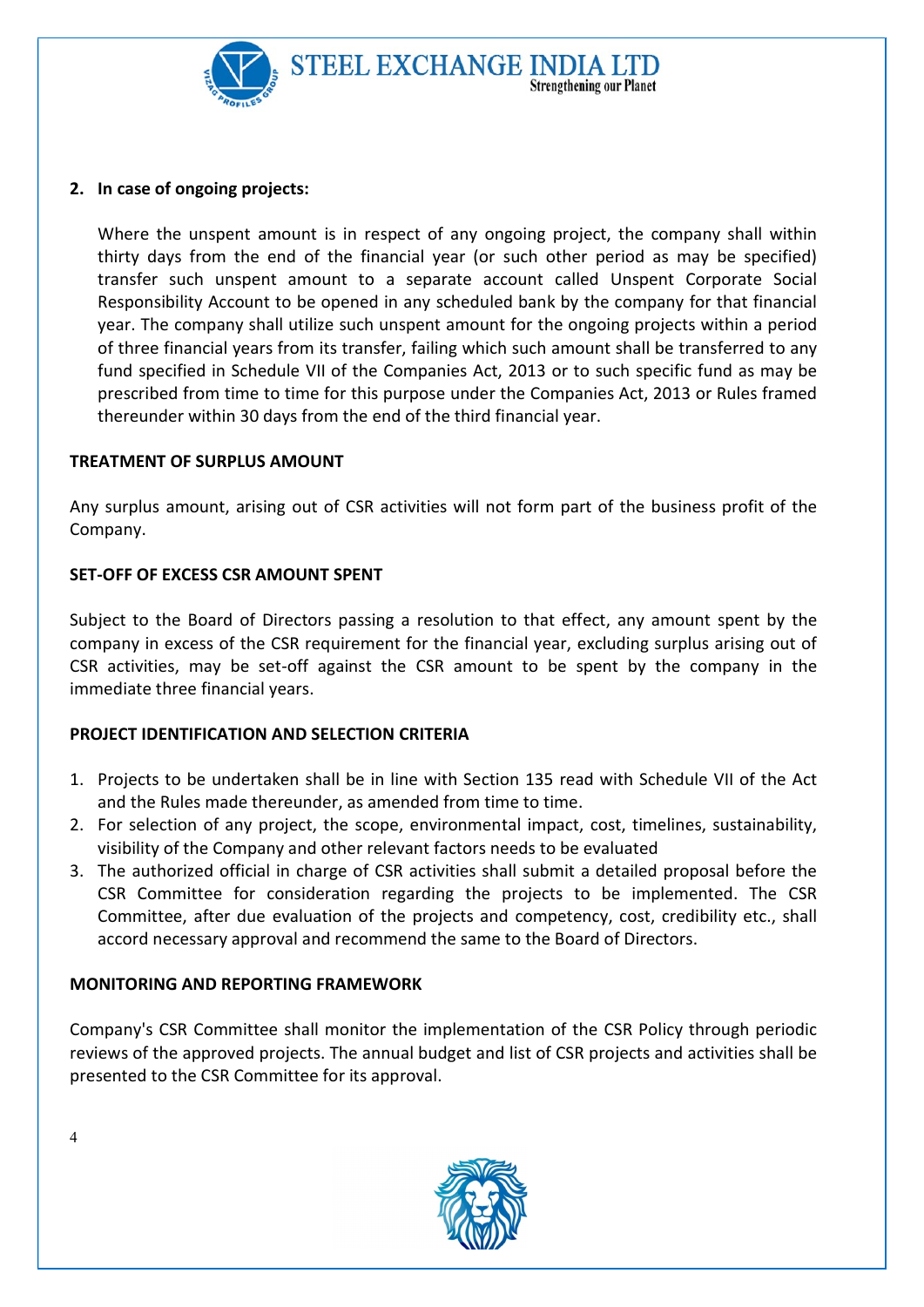

# **Strengthening our Planet**

# 2. In case of ongoing projects:

Where the unspent amount is in respect of any ongoing project, the company shall within thirty days from the end of the financial year (or such other period as may be specified) transfer such unspent amount to a separate account called Unspent Corporate Social Responsibility Account to be opened in any scheduled bank by the company for that financial year. The company shall utilize such unspent amount for the ongoing projects within a period of three financial years from its transfer, failing which such amount shall be transferred to any fund specified in Schedule VII of the Companies Act, 2013 or to such specific fund as may be prescribed from time to time for this purpose under the Companies Act, 2013 or Rules framed thereunder within 30 days from the end of the third financial year.

# TREATMENT OF SURPLUS AMOUNT

Any surplus amount, arising out of CSR activities will not form part of the business profit of the Company.

# SET-OFF OF EXCESS CSR AMOUNT SPENT

Subject to the Board of Directors passing a resolution to that effect, any amount spent by the company in excess of the CSR requirement for the financial year, excluding surplus arising out of CSR activities, may be set-off against the CSR amount to be spent by the company in the immediate three financial years.

# PROJECT IDENTIFICATION AND SELECTION CRITERIA

- 1. Projects to be undertaken shall be in line with Section 135 read with Schedule VII of the Act and the Rules made thereunder, as amended from time to time.
- 2. For selection of any project, the scope, environmental impact, cost, timelines, sustainability, visibility of the Company and other relevant factors needs to be evaluated
- 3. The authorized official in charge of CSR activities shall submit a detailed proposal before the CSR Committee for consideration regarding the projects to be implemented. The CSR Committee, after due evaluation of the projects and competency, cost, credibility etc., shall accord necessary approval and recommend the same to the Board of Directors.

# MONITORING AND REPORTING FRAMEWORK

Company's CSR Committee shall monitor the implementation of the CSR Policy through periodic reviews of the approved projects. The annual budget and list of CSR projects and activities shall be presented to the CSR Committee for its approval.



 $\Delta$